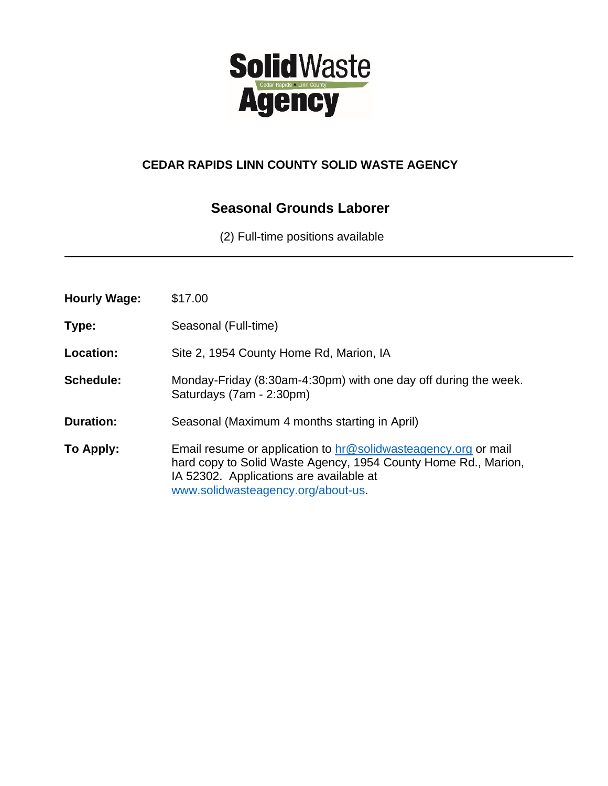

## **CEDAR RAPIDS LINN COUNTY SOLID WASTE AGENCY**

# **Seasonal Grounds Laborer**

(2) Full-time positions available

| <b>Hourly Wage:</b> | \$17.00                                                                                                                                                                                                           |
|---------------------|-------------------------------------------------------------------------------------------------------------------------------------------------------------------------------------------------------------------|
| Type:               | Seasonal (Full-time)                                                                                                                                                                                              |
| Location:           | Site 2, 1954 County Home Rd, Marion, IA                                                                                                                                                                           |
| Schedule:           | Monday-Friday (8:30am-4:30pm) with one day off during the week.<br>Saturdays (7am - 2:30pm)                                                                                                                       |
| <b>Duration:</b>    | Seasonal (Maximum 4 months starting in April)                                                                                                                                                                     |
| To Apply:           | Email resume or application to hr@solidwasteagency.org or mail<br>hard copy to Solid Waste Agency, 1954 County Home Rd., Marion,<br>IA 52302. Applications are available at<br>www.solidwasteagency.org/about-us. |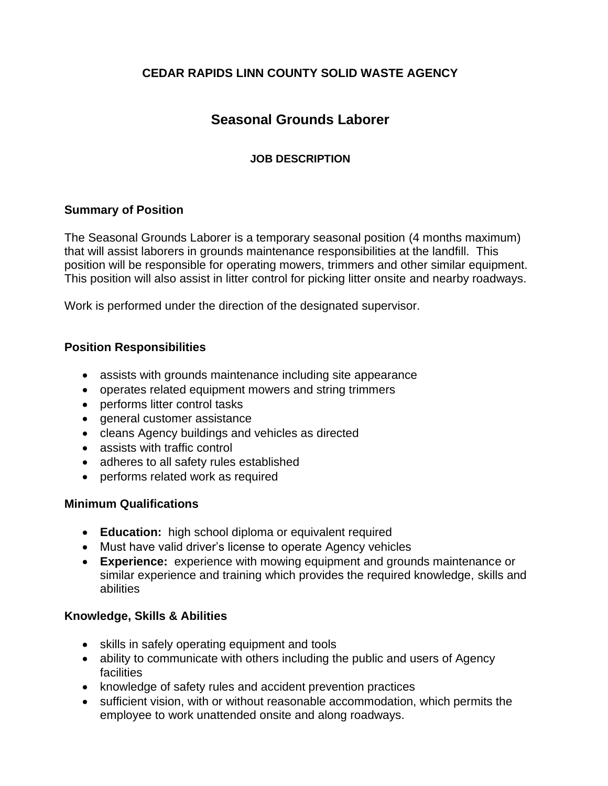## **CEDAR RAPIDS LINN COUNTY SOLID WASTE AGENCY**

# **Seasonal Grounds Laborer**

### **JOB DESCRIPTION**

#### **Summary of Position**

The Seasonal Grounds Laborer is a temporary seasonal position (4 months maximum) that will assist laborers in grounds maintenance responsibilities at the landfill. This position will be responsible for operating mowers, trimmers and other similar equipment. This position will also assist in litter control for picking litter onsite and nearby roadways.

Work is performed under the direction of the designated supervisor.

#### **Position Responsibilities**

- assists with grounds maintenance including site appearance
- operates related equipment mowers and string trimmers
- performs litter control tasks
- general customer assistance
- cleans Agency buildings and vehicles as directed
- assists with traffic control
- adheres to all safety rules established
- performs related work as required

### **Minimum Qualifications**

- **Education:** high school diploma or equivalent required
- Must have valid driver's license to operate Agency vehicles
- **Experience:** experience with mowing equipment and grounds maintenance or similar experience and training which provides the required knowledge, skills and abilities

### **Knowledge, Skills & Abilities**

- skills in safely operating equipment and tools
- ability to communicate with others including the public and users of Agency facilities
- knowledge of safety rules and accident prevention practices
- sufficient vision, with or without reasonable accommodation, which permits the employee to work unattended onsite and along roadways.